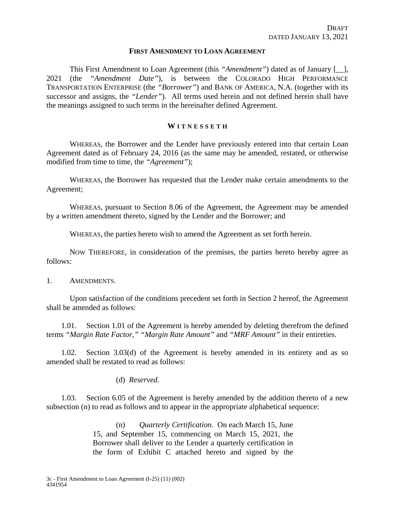### **FIRST AMENDMENT TO LOAN AGREEMENT**

This First Amendment to Loan Agreement (this *"Amendment"*) dated as of January [\_\_], 2021 (the *"Amendment Date"*), is between the COLORADO HIGH PERFORMANCE TRANSPORTATION ENTERPRISE (the *"Borrower"*) and BANK OF AMERICA, N.A. (together with its successor and assigns, the *"Lender"*). All terms used herein and not defined herein shall have the meanings assigned to such terms in the hereinafter defined Agreement.

### **W ITNESSET H**

WHEREAS, the Borrower and the Lender have previously entered into that certain Loan Agreement dated as of February 24, 2016 (as the same may be amended, restated, or otherwise modified from time to time, the *"Agreement"*);

WHEREAS, the Borrower has requested that the Lender make certain amendments to the Agreement;

WHEREAS, pursuant to Section 8.06 of the Agreement, the Agreement may be amended by a written amendment thereto, signed by the Lender and the Borrower; and

WHEREAS, the parties hereto wish to amend the Agreement as set forth herein.

NOW THEREFORE, in consideration of the premises, the parties hereto hereby agree as follows:

### 1. AMENDMENTS.

Upon satisfaction of the conditions precedent set forth in Section 2 hereof, the Agreement shall be amended as follows:

1.01. Section 1.01 of the Agreement is hereby amended by deleting therefrom the defined terms *"Margin Rate Factor," "Margin Rate Amount"* and *"MRF Amount"* in their entireties.

1.02. Section 3.03(d) of the Agreement is hereby amended in its entirety and as so amended shall be restated to read as follows:

### (d) *Reserved.*

1.03. Section 6.05 of the Agreement is hereby amended by the addition thereto of a new subsection (n) to read as follows and to appear in the appropriate alphabetical sequence:

> (n) *Quarterly Certification.* On each March 15, June 15, and September 15, commencing on March 15, 2021, the Borrower shall deliver to the Lender a quarterly certification in the form of Exhibit C attached hereto and signed by the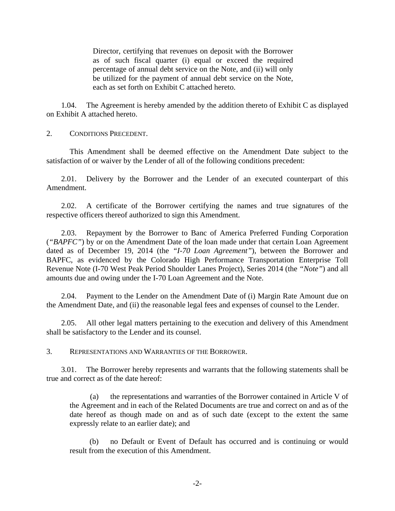Director, certifying that revenues on deposit with the Borrower as of such fiscal quarter (i) equal or exceed the required percentage of annual debt service on the Note, and (ii) will only be utilized for the payment of annual debt service on the Note, each as set forth on Exhibit C attached hereto.

1.04. The Agreement is hereby amended by the addition thereto of Exhibit C as displayed on Exhibit A attached hereto.

2. CONDITIONS PRECEDENT.

This Amendment shall be deemed effective on the Amendment Date subject to the satisfaction of or waiver by the Lender of all of the following conditions precedent:

2.01. Delivery by the Borrower and the Lender of an executed counterpart of this Amendment.

2.02. A certificate of the Borrower certifying the names and true signatures of the respective officers thereof authorized to sign this Amendment.

2.03. Repayment by the Borrower to Banc of America Preferred Funding Corporation (*"BAPFC"*) by or on the Amendment Date of the loan made under that certain Loan Agreement dated as of December 19, 2014 (the *"I-70 Loan Agreement"*), between the Borrower and BAPFC, as evidenced by the Colorado High Performance Transportation Enterprise Toll Revenue Note (I-70 West Peak Period Shoulder Lanes Project), Series 2014 (the *"Note"*) and all amounts due and owing under the I-70 Loan Agreement and the Note.

2.04. Payment to the Lender on the Amendment Date of (i) Margin Rate Amount due on the Amendment Date, and (ii) the reasonable legal fees and expenses of counsel to the Lender.

2.05. All other legal matters pertaining to the execution and delivery of this Amendment shall be satisfactory to the Lender and its counsel.

3. REPRESENTATIONS AND WARRANTIES OF THE BORROWER.

3.01. The Borrower hereby represents and warrants that the following statements shall be true and correct as of the date hereof:

(a) the representations and warranties of the Borrower contained in Article V of the Agreement and in each of the Related Documents are true and correct on and as of the date hereof as though made on and as of such date (except to the extent the same expressly relate to an earlier date); and

(b) no Default or Event of Default has occurred and is continuing or would result from the execution of this Amendment.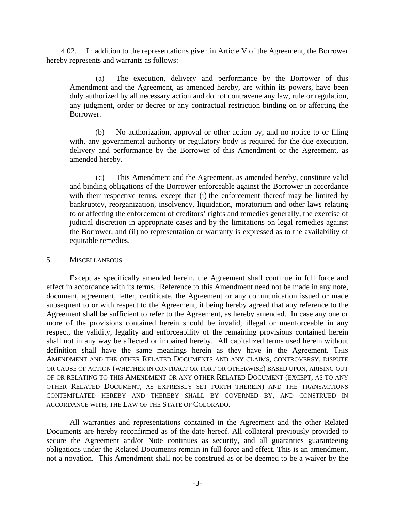4.02. In addition to the representations given in Article V of the Agreement, the Borrower hereby represents and warrants as follows:

(a) The execution, delivery and performance by the Borrower of this Amendment and the Agreement, as amended hereby, are within its powers, have been duly authorized by all necessary action and do not contravene any law, rule or regulation, any judgment, order or decree or any contractual restriction binding on or affecting the Borrower.

(b) No authorization, approval or other action by, and no notice to or filing with, any governmental authority or regulatory body is required for the due execution, delivery and performance by the Borrower of this Amendment or the Agreement, as amended hereby.

(c) This Amendment and the Agreement, as amended hereby, constitute valid and binding obligations of the Borrower enforceable against the Borrower in accordance with their respective terms, except that (i) the enforcement thereof may be limited by bankruptcy, reorganization, insolvency, liquidation, moratorium and other laws relating to or affecting the enforcement of creditors' rights and remedies generally, the exercise of judicial discretion in appropriate cases and by the limitations on legal remedies against the Borrower, and (ii) no representation or warranty is expressed as to the availability of equitable remedies.

#### 5. MISCELLANEOUS.

Except as specifically amended herein, the Agreement shall continue in full force and effect in accordance with its terms. Reference to this Amendment need not be made in any note, document, agreement, letter, certificate, the Agreement or any communication issued or made subsequent to or with respect to the Agreement, it being hereby agreed that any reference to the Agreement shall be sufficient to refer to the Agreement, as hereby amended. In case any one or more of the provisions contained herein should be invalid, illegal or unenforceable in any respect, the validity, legality and enforceability of the remaining provisions contained herein shall not in any way be affected or impaired hereby. All capitalized terms used herein without definition shall have the same meanings herein as they have in the Agreement. This AMENDMENT AND THE OTHER RELATED DOCUMENTS AND ANY CLAIMS, CONTROVERSY, DISPUTE OR CAUSE OF ACTION (WHETHER IN CONTRACT OR TORT OR OTHERWISE) BASED UPON, ARISING OUT OF OR RELATING TO THIS AMENDMENT OR ANY OTHER RELATED DOCUMENT (EXCEPT, AS TO ANY OTHER RELATED DOCUMENT, AS EXPRESSLY SET FORTH THEREIN) AND THE TRANSACTIONS CONTEMPLATED HEREBY AND THEREBY SHALL BY GOVERNED BY, AND CONSTRUED IN ACCORDANCE WITH, THE LAW OF THE STATE OF COLORADO.

All warranties and representations contained in the Agreement and the other Related Documents are hereby reconfirmed as of the date hereof. All collateral previously provided to secure the Agreement and/or Note continues as security, and all guaranties guaranteeing obligations under the Related Documents remain in full force and effect. This is an amendment, not a novation. This Amendment shall not be construed as or be deemed to be a waiver by the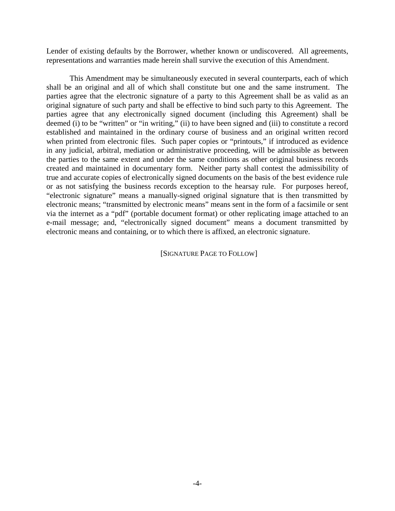Lender of existing defaults by the Borrower, whether known or undiscovered. All agreements, representations and warranties made herein shall survive the execution of this Amendment.

This Amendment may be simultaneously executed in several counterparts, each of which shall be an original and all of which shall constitute but one and the same instrument. The parties agree that the electronic signature of a party to this Agreement shall be as valid as an original signature of such party and shall be effective to bind such party to this Agreement. The parties agree that any electronically signed document (including this Agreement) shall be deemed (i) to be "written" or "in writing," (ii) to have been signed and (iii) to constitute a record established and maintained in the ordinary course of business and an original written record when printed from electronic files. Such paper copies or "printouts," if introduced as evidence in any judicial, arbitral, mediation or administrative proceeding, will be admissible as between the parties to the same extent and under the same conditions as other original business records created and maintained in documentary form. Neither party shall contest the admissibility of true and accurate copies of electronically signed documents on the basis of the best evidence rule or as not satisfying the business records exception to the hearsay rule. For purposes hereof, "electronic signature" means a manually-signed original signature that is then transmitted by electronic means; "transmitted by electronic means" means sent in the form of a facsimile or sent via the internet as a "pdf" (portable document format) or other replicating image attached to an e-mail message; and, "electronically signed document" means a document transmitted by electronic means and containing, or to which there is affixed, an electronic signature.

[SIGNATURE PAGE TO FOLLOW]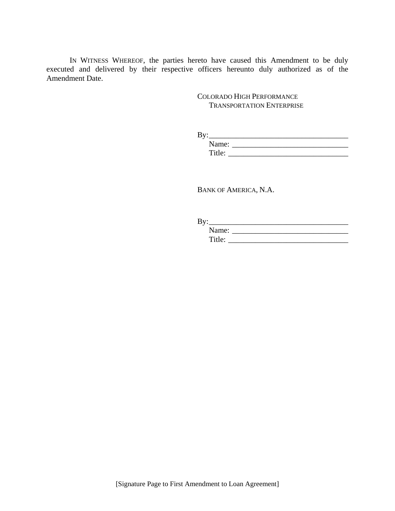IN WITNESS WHEREOF, the parties hereto have caused this Amendment to be duly executed and delivered by their respective officers hereunto duly authorized as of the Amendment Date.

> COLORADO HIGH PERFORMANCE TRANSPORTATION ENTERPRISE

| Bv:    |  |
|--------|--|
| Name:  |  |
| Title: |  |

BANK OF AMERICA, N.A.

| By:    |  |
|--------|--|
| Name:  |  |
| Title: |  |